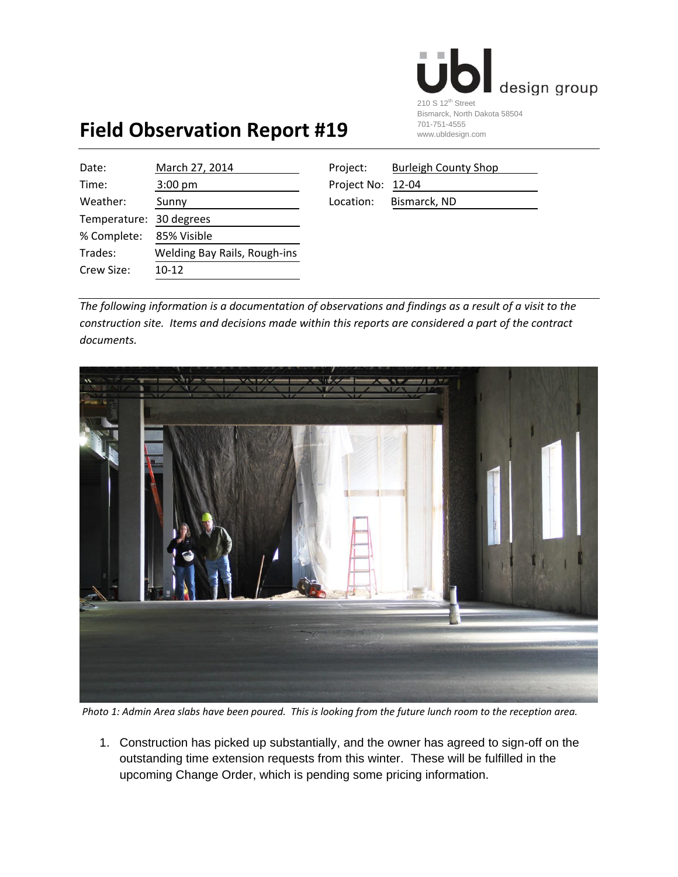

## **Field Observation Report #19**

| Date:                   | March 27, 2014               | Project:          | <b>Burleigh County Shop</b> |
|-------------------------|------------------------------|-------------------|-----------------------------|
| Time:                   | $3:00 \text{ pm}$            | Project No: 12-04 |                             |
| Weather:                | Sunny                        | Location:         | Bismarck, ND                |
| Temperature: 30 degrees |                              |                   |                             |
| % Complete:             | 85% Visible                  |                   |                             |
| Trades:                 | Welding Bay Rails, Rough-ins |                   |                             |
| Crew Size:              | $10-12$                      |                   |                             |
|                         |                              |                   |                             |

| 'roject:         | <b>Burleigh County Shop</b> |
|------------------|-----------------------------|
| roject No: 12-04 |                             |
| .ocation:        | Bismarck, ND                |

*The following information is a documentation of observations and findings as a result of a visit to the construction site. Items and decisions made within this reports are considered a part of the contract documents.* 



*Photo 1: Admin Area slabs have been poured. This is looking from the future lunch room to the reception area.*

1. Construction has picked up substantially, and the owner has agreed to sign-off on the outstanding time extension requests from this winter. These will be fulfilled in the upcoming Change Order, which is pending some pricing information.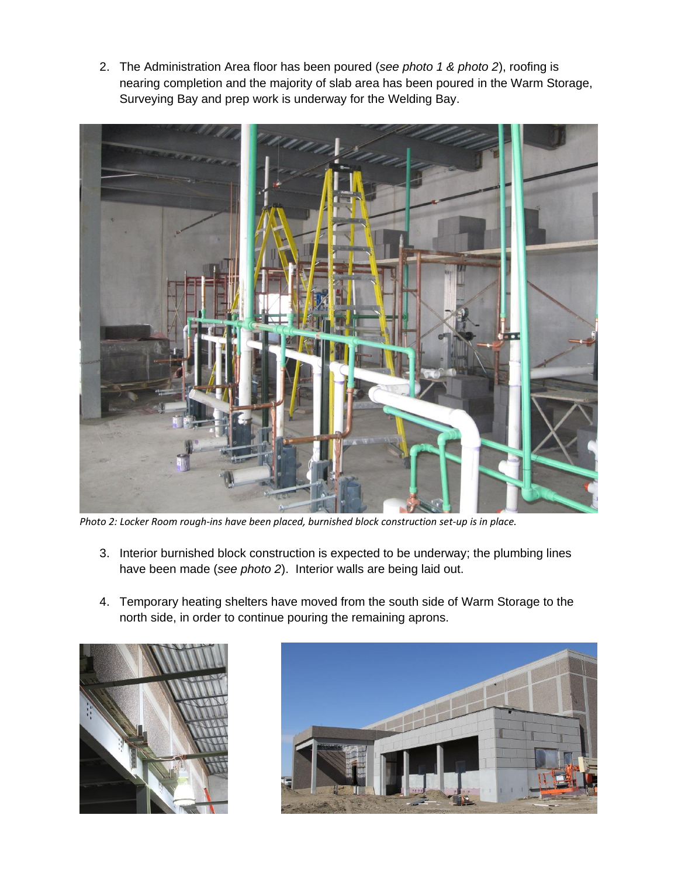2. The Administration Area floor has been poured (*see photo 1 & photo 2*), roofing is nearing completion and the majority of slab area has been poured in the Warm Storage, Surveying Bay and prep work is underway for the Welding Bay.



*Photo 2: Locker Room rough-ins have been placed, burnished block construction set-up is in place.*

- 3. Interior burnished block construction is expected to be underway; the plumbing lines have been made (*see photo 2*). Interior walls are being laid out.
- 4. Temporary heating shelters have moved from the south side of Warm Storage to the north side, in order to continue pouring the remaining aprons.